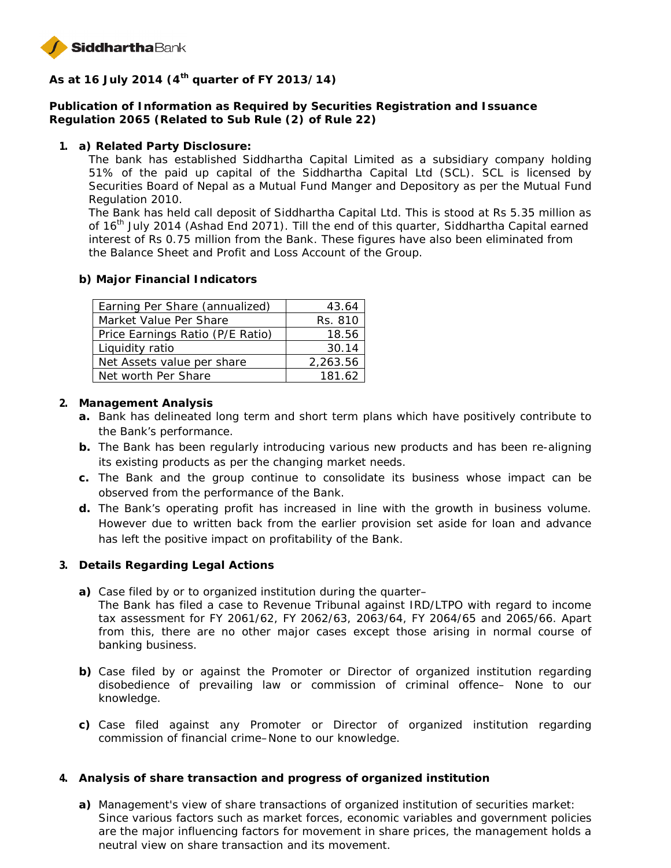

**As at 16 July 2014 (4th quarter of FY 2013/14)**

**Publication of Information as Required by Securities Registration and Issuance Regulation 2065 (Related to Sub Rule (2) of Rule 22)**

**1. a) Related Party Disclosure:**

The bank has established Siddhartha Capital Limited as a subsidiary company holding 51% of the paid up capital of the Siddhartha Capital Ltd (SCL). SCL is licensed by Securities Board of Nepal as a Mutual Fund Manger and Depository as per the Mutual Fund Regulation 2010.

The Bank has held call deposit of Siddhartha Capital Ltd. This is stood at Rs 5.35 million as of 16<sup>th</sup> July 2014 (Ashad End 2071). Till the end of this quarter, Siddhartha Capital earned interest of Rs 0.75 million from the Bank. These figures have also been eliminated from the Balance Sheet and Profit and Loss Account of the Group.

**b) Major Financial Indicators**

| Earning Per Share (annualized)   | 43.64    |
|----------------------------------|----------|
| Market Value Per Share           | Rs. 810  |
| Price Earnings Ratio (P/E Ratio) | 18.56    |
| Liquidity ratio                  | 30.14    |
| Net Assets value per share       | 2,263.56 |
| Net worth Per Share              | 181.62   |

- **2. Management Analysis**
	- **a.** Bank has delineated long term and short term plans which have positively contribute to the Bank's performance.
	- **b.** The Bank has been regularly introducing various new products and has been re-aligning its existing products as per the changing market needs.
	- **c.** The Bank and the group continue to consolidate its business whose impact can be observed from the performance of the Bank.
	- **d.** The Bank's operating profit has increased in line with the growth in business volume. However due to written back from the earlier provision set aside for loan and advance has left the positive impact on profitability of the Bank.
- **3. Details Regarding Legal Actions**
	- **a)** Case filed by or to organized institution during the quarter– The Bank has filed a case to Revenue Tribunal against IRD/LTPO with regard to income tax assessment for FY 2061/62, FY 2062/63, 2063/64, FY 2064/65 and 2065/66. Apart from this, there are no other major cases except those arising in normal course of banking business.
	- **b)** Case filed by or against the Promoter or Director of organized institution regarding disobedience of prevailing law or commission of criminal offence– None to our knowledge.
	- **c)** Case filed against any Promoter or Director of organized institution regarding commission of financial crime–None to our knowledge.
- **4. Analysis of share transaction and progress of organized institution**
	- **a)** Management's view of share transactions of organized institution of securities market: Since various factors such as market forces, economic variables and government policies are the major influencing factors for movement in share prices, the management holds a neutral view on share transaction and its movement.